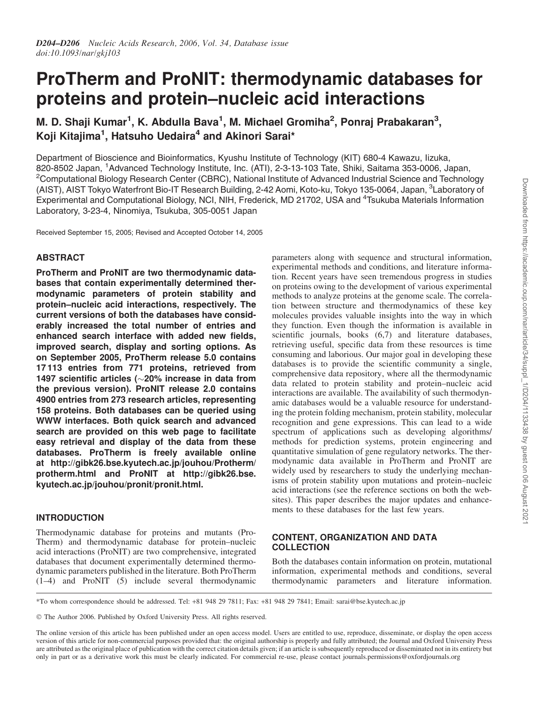# ProTherm and ProNIT: thermodynamic databases for proteins and protein–nucleic acid interactions

M. D. Shaji Kumar<sup>1</sup>, K. Abdulla Bava<sup>1</sup>, M. Michael Gromiha<sup>2</sup>, Ponraj Prabakaran<sup>3</sup>, Koji Kitajima<sup>1</sup>, Hatsuho Uedaira<sup>4</sup> and Akinori Sarai\*

5 Department of Bioscience and Bioinformatics, Kyushu Institute of Technology (KIT) 680-4 Kawazu, Iizuka, 820-8502 Japan, <sup>1</sup>Advanced Technology Institute, Inc. (ATI), 2-3-13-103 Tate, Shiki, Saitama 353-0006, Japan, <sup>2</sup>Computational Biology Research Center (CBRC), National Institute of Advanced Industrial Science and Technology (AIST), AIST Tokyo Waterfront Bio-IT Research Building, 2-42 Aomi, Koto-ku, Tokyo 135-0064, Japan, <sup>3</sup>Laboratory of Experimental and Computational Biology, NCI, NIH, Frederick, MD 21702, USA and <sup>4</sup>Tsukuba Materials Information Laboratory, 3-23-4, Ninomiya, Tsukuba, 305-0051 Japan

Received September 15, 2005; Revised and Accepted October 14, 2005

## ABSTRACT

ProTherm and ProNIT are two thermodynamic databases that contain experimentally determined thermodynamic parameters of protein stability and protein–nucleic acid interactions, respectively. The current versions of both the databases have considerably increased the total number of entries and enhanced search interface with added new fields, improved search, display and sorting options. As on September 2005, ProTherm release 5.0 contains 17 113 entries from 771 proteins, retrieved from 1497 scientific articles ( $\sim$ 20% increase in data from the previous version). ProNIT release 2.0 contains <sup>25</sup> 4900 entries from 273 research articles, representing 158 proteins. Both databases can be queried using WWW interfaces. Both quick search and advanced search are provided on this web page to facilitate easy retrieval and display of the data from these databases. ProTherm is freely available online at http://gibk26.bse.kyutech.ac.jp/jouhou/Protherm/ protherm.html and ProNIT at http://gibk26.bse. kyutech.ac.jp/jouhou/pronit/pronit.html.

## INTRODUCTION

Thermodynamic database for proteins and mutants (Pro-Therm) and thermodynamic database for protein–nucleic acid interactions (ProNIT) are two comprehensive, integrated databases that document experimentally determined thermodynamic parameters published in the literature. Both ProTherm  $(1-4)$  and ProNIT  $(5)$  include several thermodynamic

parameters along with sequence and structural information, experimental methods and conditions, and literature information. Recent years have seen tremendous progress in studies on proteins owing to the development of various experimental methods to analyze proteins at the genome scale. The correla- <sup>45</sup> tion between structure and thermodynamics of these key molecules provides valuable insights into the way in which they function. Even though the information is available in scientific journals, books  $(6,7)$  and literature databases, retrieving useful, specific data from these resources is time consuming and laborious. Our major goal in developing these databases is to provide the scientific community a single, comprehensive data repository, where all the thermodynamic data related to protein stability and protein–nucleic acid interactions are available. The availability of such thermodynamic databases would be a valuable resource for understanding the protein folding mechanism, protein stability, molecular recognition and gene expressions. This can lead to a wide spectrum of applications such as developing algorithms/ methods for prediction systems, protein engineering and quantitative simulation of gene regulatory networks. The thermodynamic data available in ProTherm and ProNIT are widely used by researchers to study the underlying mechanisms of protein stability upon mutations and protein–nucleic acid interactions (see the reference sections on both the websites). This paper describes the major updates and enhancements to these databases for the last few years.

## CONTENT, ORGANIZATION AND DATA **COLLECTION**

Both the databases contain information on protein, mutational information, experimental methods and conditions, several thermodynamic parameters and literature information.

\*To whom correspondence should be addressed. Tel: +81 948 29 7811; Fax: +81 948 29 7841; Email: sarai@bse.kyutech.ac.jp

 $©$  The Author 2006. Published by Oxford University Press. All rights reserved.

The online version of this article has been published under an open access model. Users are entitled to use, reproduce, disseminate, or display the open access version of this article for non-commercial purposes provided that: the original authorship is properly and fully attributed; the Journal and Oxford University Press are attributed as the original place of publication with the correct citation details given; if an article is subsequently reproduced or disseminated not in its entirety but only in part or as a derivative work this must be clearly indicated. For commercial re-use, please contact journals.permissions@oxfordjournals.org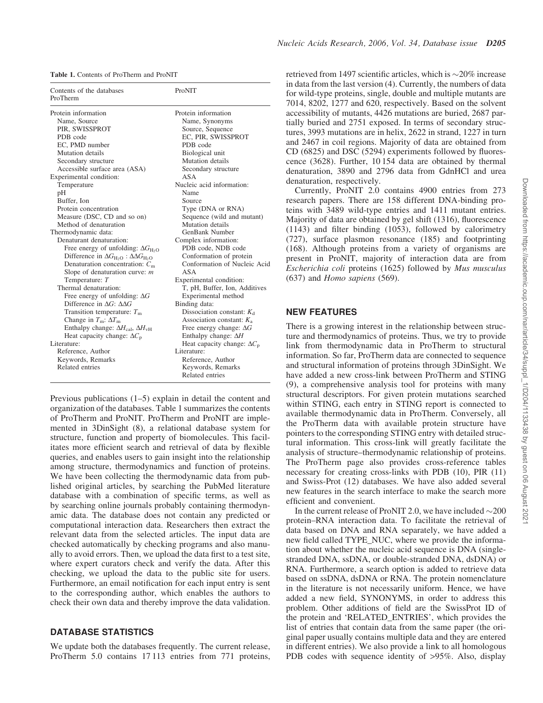| <b>Table 1.</b> Contents of ProTherm and ProNIT |  |  |
|-------------------------------------------------|--|--|
|-------------------------------------------------|--|--|

| Contents of the databases<br>ProTherm                                                                                                                                                                                                                                                                                                                                                                                                                                                                                                                                                                                                                                                                                                                                                                                                                                                                                                                                                                 | ProNIT                                                                                                                                                                                                                                                                                                                                                                                                                                                                                                                                                                                                                                                                                                                                                                                             |
|-------------------------------------------------------------------------------------------------------------------------------------------------------------------------------------------------------------------------------------------------------------------------------------------------------------------------------------------------------------------------------------------------------------------------------------------------------------------------------------------------------------------------------------------------------------------------------------------------------------------------------------------------------------------------------------------------------------------------------------------------------------------------------------------------------------------------------------------------------------------------------------------------------------------------------------------------------------------------------------------------------|----------------------------------------------------------------------------------------------------------------------------------------------------------------------------------------------------------------------------------------------------------------------------------------------------------------------------------------------------------------------------------------------------------------------------------------------------------------------------------------------------------------------------------------------------------------------------------------------------------------------------------------------------------------------------------------------------------------------------------------------------------------------------------------------------|
| Protein information<br>Name, Source<br>PIR, SWISSPROT<br>PDB code<br>EC, PMD number<br>Mutation details<br>Secondary structure<br>Accessible surface area (ASA)<br>Experimental condition:<br>Temperature<br>pH<br>Buffer, Ion<br>Protein concentration<br>Measure (DSC, CD and so on)<br>Method of denaturation<br>Thermodynamic data:<br>Denaturant denaturation:<br>Free energy of unfolding: $\Delta G_{\text{H}_2\text{O}}$<br>Difference in $\Delta G_{\text{H}_2\text{O}}$ : $\Delta \Delta G_{\text{H}_2\text{O}}$<br>Denaturation concentration: $C_m$<br>Slope of denaturation curve: $m$<br>Temperature: T<br>Thermal denaturation:<br>Free energy of unfolding: $\Delta G$<br>Difference in $\Delta G$ : $\Delta \Delta G$<br>Transition temperature: $Tm$<br>Change in $T_m$ : $\Delta T_m$<br>Enthalpy change: $\Delta H_{\text{cal}}$ , $\Delta H_{\text{vH}}$<br>Heat capacity change: $\Delta C_{\rm p}$<br>Literature:<br>Reference, Author<br>Keywords, Remarks<br>Related entries | Protein information<br>Name, Synonyms<br>Source, Sequence<br>EC, PIR, SWISSPROT<br>PDB code<br>Biological unit<br>Mutation details<br>Secondary structure<br>ASA<br>Nucleic acid information:<br>Name<br>Source<br>Type (DNA or RNA)<br>Sequence (wild and mutant)<br>Mutation details<br><b>GenBank Number</b><br>Complex information:<br>PDB code, NDB code<br>Conformation of protein<br>Conformation of Nucleic Acid<br><b>ASA</b><br>Experimental condition:<br>T, pH, Buffer, Ion, Additives<br>Experimental method<br>Binding data:<br>Dissociation constant: $K_d$<br>Association constant: $K_a$<br>Free energy change: $\Delta G$<br>Enthalpy change: $\Delta H$<br>Heat capacity change: $\Delta C_{\rm p}$<br>Literature:<br>Reference, Author<br>Keywords, Remarks<br>Related entries |

Previous publications (1–5) explain in detail the content and organization of the databases. Table 1 summarizes the contents of ProTherm and ProNIT. ProTherm and ProNIT are implemented in 3DinSight (8), a relational database system for structure, function and property of biomolecules. This facilitates more efficient search and retrieval of data by flexible queries, and enables users to gain insight into the relationship among structure, thermodynamics and function of proteins. We have been collecting the thermodynamic data from published original articles, by searching the PubMed literature database with a combination of specific terms, as well as by searching online journals probably containing thermodynamic data. The database does not contain any predicted or computational interaction data. Researchers then extract the relevant data from the selected articles. The input data are checked automatically by checking programs and also manually to avoid errors. Then, we upload the data first to a test site, where expert curators check and verify the data. After this checking, we upload the data to the public site for users. Furthermore, an email notification for each input entry is sent to the corresponding author, which enables the authors to check their own data and thereby improve the data validation.

### DATABASE STATISTICS

We update both the databases frequently. The current release, ProTherm 5.0 contains 17 113 entries from 771 proteins, retrieved from 1497 scientific articles, which is  $\sim$ 20% increase in data from the last version (4). Currently, the numbers of data for wild-type proteins, single, double and multiple mutants are 7014, 8202, 1277 and 620, respectively. Based on the solvent accessibility of mutants, 4426 mutations are buried, 2687 partially buried and 2751 exposed. In terms of secondary structures, 3993 mutations are in helix, 2622 in strand, 1227 in turn and 2467 in coil regions. Majority of data are obtained from CD (6825) and DSC (5294) experiments followed by fluorescence  $(3628)$ . Further, 10 154 data are obtained by thermal denaturation, 3890 and 2796 data from GdnHCl and urea denaturation, respectively.

Currently, ProNIT 2.0 contains 4900 entries from 273 research papers. There are 158 different DNA-binding proteins with 3489 wild-type entries and 1411 mutant entries. Majority of data are obtained by gel shift (1316), fluorescence (1143) and filter binding (1053), followed by calorimetry (727), surface plasmon resonance (185) and footprinting (168). Although proteins from a variety of organisms are present in ProNIT, majority of interaction data are from *Escherichia coli* proteins (1625) followed by *Mus musculus* (637) and *Homo sapiens* (569).

#### NEW FEATURES

There is a growing interest in the relationship between structure and thermodynamics of proteins. Thus, we try to provide link from thermodynamic data in ProTherm to structural information. So far, ProTherm data are connected to sequence and structural information of proteins through 3DinSight. We have added a new cross-link between ProTherm and STING  $(9)$ , a comprehensive analysis tool for proteins with many structural descriptors. For given protein mutations searched within STING, each entry in STING report is connected to available thermodynamic data in ProTherm. Conversely, all the ProTherm data with available protein structure have pointers to the corresponding STING entry with detailed structural information. This cross-link will greatly facilitate the analysis of structure–thermodynamic relationship of proteins. The ProTherm page also provides cross-reference tables necessary for creating cross-links with PDB (10), PIR (11) and Swiss-Prot (12) databases. We have also added several new features in the search interface to make the search more efficient and convenient.

In the current release of ProNIT 2.0, we have included  $\sim$ 200 protein–RNA interaction data. To facilitate the retrieval of data based on DNA and RNA separately, we have added a new field called TYPE\_NUC, where we provide the information about whether the nucleic acid sequence is DNA (singlestranded DNA, ssDNA, or double-stranded DNA, dsDNA) or RNA. Furthermore, a search option is added to retrieve data based on ssDNA, dsDNA or RNA. The protein nomenclature in the literature is not necessarily uniform. Hence, we have added a new field, SYNONYMS, in order to address this problem. Other additions of field are the SwissProt ID of the protein and 'RELATED\_ENTRIES', which provides the list of entries that contain data from the same paper (the original paper usually contains multiple data and they are entered in different entries). We also provide a link to all homologous PDB codes with sequence identity of >95%. Also, display